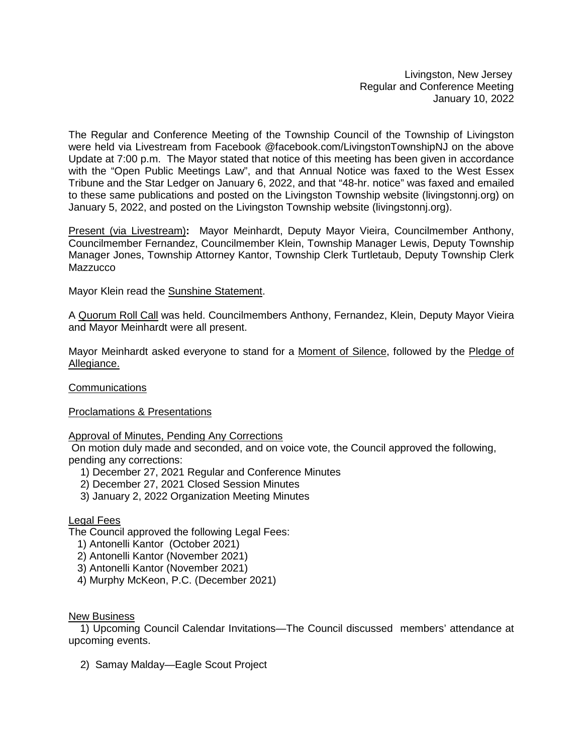Livingston, New Jersey Regular and Conference Meeting January 10, 2022

The Regular and Conference Meeting of the Township Council of the Township of Livingston were held via Livestream from Facebook @facebook.com/LivingstonTownshipNJ on the above Update at 7:00 p.m. The Mayor stated that notice of this meeting has been given in accordance with the "Open Public Meetings Law", and that Annual Notice was faxed to the West Essex Tribune and the Star Ledger on January 6, 2022, and that "48-hr. notice" was faxed and emailed to these same publications and posted on the Livingston Township website (livingstonnj.org) on January 5, 2022, and posted on the Livingston Township website (livingstonnj.org).

Present (via Livestream)**:** Mayor Meinhardt, Deputy Mayor Vieira, Councilmember Anthony, Councilmember Fernandez, Councilmember Klein, Township Manager Lewis, Deputy Township Manager Jones, Township Attorney Kantor, Township Clerk Turtletaub, Deputy Township Clerk **Mazzucco** 

Mayor Klein read the Sunshine Statement.

A Quorum Roll Call was held. Councilmembers Anthony, Fernandez, Klein, Deputy Mayor Vieira and Mayor Meinhardt were all present.

Mayor Meinhardt asked everyone to stand for a Moment of Silence, followed by the Pledge of Allegiance.

**Communications** 

Proclamations & Presentations

# Approval of Minutes, Pending Any Corrections

On motion duly made and seconded, and on voice vote, the Council approved the following, pending any corrections:

- 1) December 27, 2021 Regular and Conference Minutes
- 2) December 27, 2021 Closed Session Minutes
- 3) January 2, 2022 Organization Meeting Minutes

## Legal Fees

The Council approved the following Legal Fees:

- 1) Antonelli Kantor (October 2021)
- 2) Antonelli Kantor (November 2021)
- 3) Antonelli Kantor (November 2021)
- 4) Murphy McKeon, P.C. (December 2021)

#### New Business

 1) Upcoming Council Calendar Invitations—The Council discussed members' attendance at upcoming events.

2) Samay Malday—Eagle Scout Project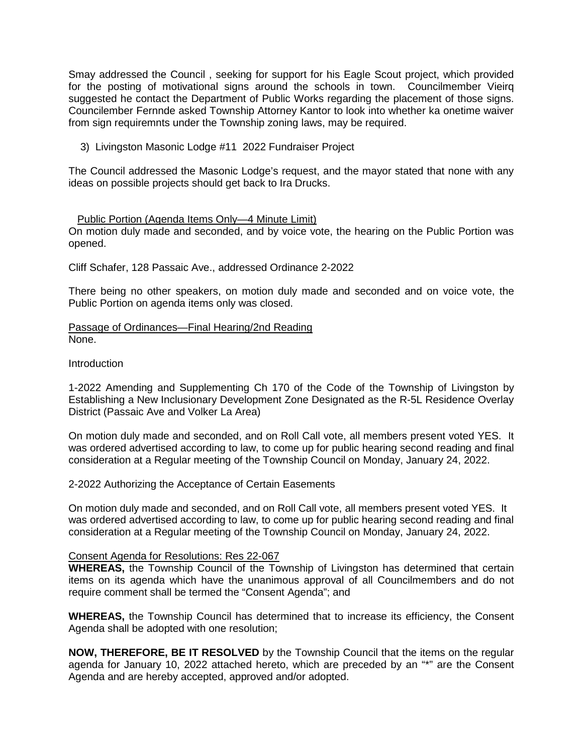Smay addressed the Council , seeking for support for his Eagle Scout project, which provided for the posting of motivational signs around the schools in town. Councilmember Vieirq suggested he contact the Department of Public Works regarding the placement of those signs. Councilember Fernnde asked Township Attorney Kantor to look into whether ka onetime waiver from sign requiremnts under the Township zoning laws, may be required.

3) Livingston Masonic Lodge #11 2022 Fundraiser Project

The Council addressed the Masonic Lodge's request, and the mayor stated that none with any ideas on possible projects should get back to Ira Drucks.

#### Public Portion (Agenda Items Only—4 Minute Limit)

On motion duly made and seconded, and by voice vote, the hearing on the Public Portion was opened.

Cliff Schafer, 128 Passaic Ave., addressed Ordinance 2-2022

There being no other speakers, on motion duly made and seconded and on voice vote, the Public Portion on agenda items only was closed.

Passage of Ordinances—Final Hearing/2nd Reading None.

**Introduction** 

1-2022 Amending and Supplementing Ch 170 of the Code of the Township of Livingston by Establishing a New Inclusionary Development Zone Designated as the R-5L Residence Overlay District (Passaic Ave and Volker La Area)

On motion duly made and seconded, and on Roll Call vote, all members present voted YES. It was ordered advertised according to law, to come up for public hearing second reading and final consideration at a Regular meeting of the Township Council on Monday, January 24, 2022.

2-2022 Authorizing the Acceptance of Certain Easements

On motion duly made and seconded, and on Roll Call vote, all members present voted YES. It was ordered advertised according to law, to come up for public hearing second reading and final consideration at a Regular meeting of the Township Council on Monday, January 24, 2022.

#### Consent Agenda for Resolutions: Res 22-067

**WHEREAS,** the Township Council of the Township of Livingston has determined that certain items on its agenda which have the unanimous approval of all Councilmembers and do not require comment shall be termed the "Consent Agenda"; and

**WHEREAS,** the Township Council has determined that to increase its efficiency, the Consent Agenda shall be adopted with one resolution;

**NOW, THEREFORE, BE IT RESOLVED** by the Township Council that the items on the regular agenda for January 10, 2022 attached hereto, which are preceded by an "\*" are the Consent Agenda and are hereby accepted, approved and/or adopted.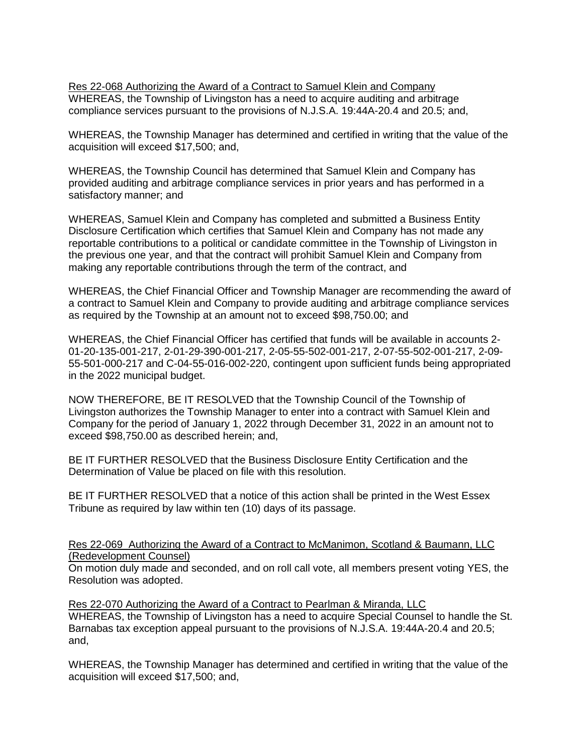Res 22-068 Authorizing the Award of a Contract to Samuel Klein and Company WHEREAS, the Township of Livingston has a need to acquire auditing and arbitrage compliance services pursuant to the provisions of N.J.S.A. 19:44A-20.4 and 20.5; and,

WHEREAS, the Township Manager has determined and certified in writing that the value of the acquisition will exceed \$17,500; and,

WHEREAS, the Township Council has determined that Samuel Klein and Company has provided auditing and arbitrage compliance services in prior years and has performed in a satisfactory manner; and

WHEREAS, Samuel Klein and Company has completed and submitted a Business Entity Disclosure Certification which certifies that Samuel Klein and Company has not made any reportable contributions to a political or candidate committee in the Township of Livingston in the previous one year, and that the contract will prohibit Samuel Klein and Company from making any reportable contributions through the term of the contract, and

WHEREAS, the Chief Financial Officer and Township Manager are recommending the award of a contract to Samuel Klein and Company to provide auditing and arbitrage compliance services as required by the Township at an amount not to exceed \$98,750.00; and

WHEREAS, the Chief Financial Officer has certified that funds will be available in accounts 2- 01-20-135-001-217, 2-01-29-390-001-217, 2-05-55-502-001-217, 2-07-55-502-001-217, 2-09- 55-501-000-217 and C-04-55-016-002-220, contingent upon sufficient funds being appropriated in the 2022 municipal budget.

NOW THEREFORE, BE IT RESOLVED that the Township Council of the Township of Livingston authorizes the Township Manager to enter into a contract with Samuel Klein and Company for the period of January 1, 2022 through December 31, 2022 in an amount not to exceed \$98,750.00 as described herein; and,

BE IT FURTHER RESOLVED that the Business Disclosure Entity Certification and the Determination of Value be placed on file with this resolution.

BE IT FURTHER RESOLVED that a notice of this action shall be printed in the West Essex Tribune as required by law within ten (10) days of its passage.

#### Res 22-069 Authorizing the Award of a Contract to McManimon, Scotland & Baumann, LLC (Redevelopment Counsel)

On motion duly made and seconded, and on roll call vote, all members present voting YES, the Resolution was adopted.

Res 22-070 Authorizing the Award of a Contract to Pearlman & Miranda, LLC WHEREAS, the Township of Livingston has a need to acquire Special Counsel to handle the St. Barnabas tax exception appeal pursuant to the provisions of N.J.S.A. 19:44A-20.4 and 20.5; and,

WHEREAS, the Township Manager has determined and certified in writing that the value of the acquisition will exceed \$17,500; and,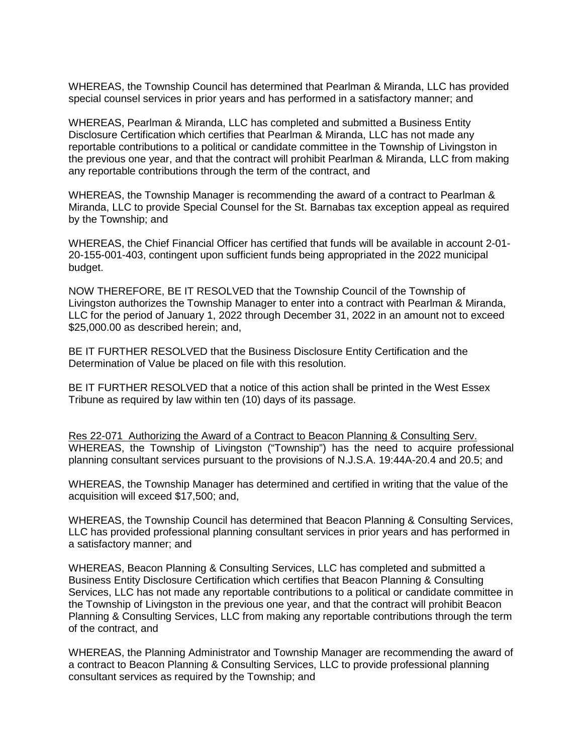WHEREAS, the Township Council has determined that Pearlman & Miranda, LLC has provided special counsel services in prior years and has performed in a satisfactory manner; and

WHEREAS, Pearlman & Miranda, LLC has completed and submitted a Business Entity Disclosure Certification which certifies that Pearlman & Miranda, LLC has not made any reportable contributions to a political or candidate committee in the Township of Livingston in the previous one year, and that the contract will prohibit Pearlman & Miranda, LLC from making any reportable contributions through the term of the contract, and

WHEREAS, the Township Manager is recommending the award of a contract to Pearlman & Miranda, LLC to provide Special Counsel for the St. Barnabas tax exception appeal as required by the Township; and

WHEREAS, the Chief Financial Officer has certified that funds will be available in account 2-01- 20-155-001-403, contingent upon sufficient funds being appropriated in the 2022 municipal budget.

NOW THEREFORE, BE IT RESOLVED that the Township Council of the Township of Livingston authorizes the Township Manager to enter into a contract with Pearlman & Miranda, LLC for the period of January 1, 2022 through December 31, 2022 in an amount not to exceed \$25,000.00 as described herein; and,

BE IT FURTHER RESOLVED that the Business Disclosure Entity Certification and the Determination of Value be placed on file with this resolution.

BE IT FURTHER RESOLVED that a notice of this action shall be printed in the West Essex Tribune as required by law within ten (10) days of its passage.

Res 22-071 Authorizing the Award of a Contract to Beacon Planning & Consulting Serv. WHEREAS, the Township of Livingston ("Township") has the need to acquire professional planning consultant services pursuant to the provisions of N.J.S.A. 19:44A-20.4 and 20.5; and

WHEREAS, the Township Manager has determined and certified in writing that the value of the acquisition will exceed \$17,500; and,

WHEREAS, the Township Council has determined that Beacon Planning & Consulting Services, LLC has provided professional planning consultant services in prior years and has performed in a satisfactory manner; and

WHEREAS, Beacon Planning & Consulting Services, LLC has completed and submitted a Business Entity Disclosure Certification which certifies that Beacon Planning & Consulting Services, LLC has not made any reportable contributions to a political or candidate committee in the Township of Livingston in the previous one year, and that the contract will prohibit Beacon Planning & Consulting Services, LLC from making any reportable contributions through the term of the contract, and

WHEREAS, the Planning Administrator and Township Manager are recommending the award of a contract to Beacon Planning & Consulting Services, LLC to provide professional planning consultant services as required by the Township; and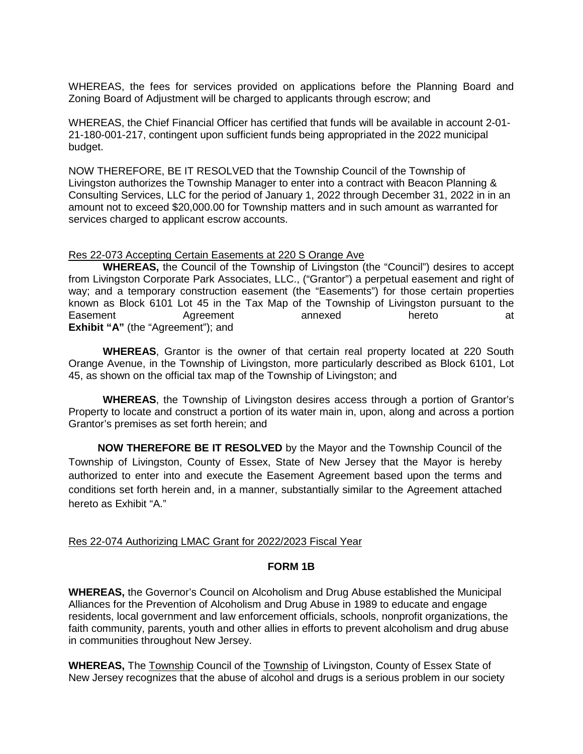WHEREAS, the fees for services provided on applications before the Planning Board and Zoning Board of Adjustment will be charged to applicants through escrow; and

WHEREAS, the Chief Financial Officer has certified that funds will be available in account 2-01- 21-180-001-217, contingent upon sufficient funds being appropriated in the 2022 municipal budget.

NOW THEREFORE, BE IT RESOLVED that the Township Council of the Township of Livingston authorizes the Township Manager to enter into a contract with Beacon Planning & Consulting Services, LLC for the period of January 1, 2022 through December 31, 2022 in in an amount not to exceed \$20,000.00 for Township matters and in such amount as warranted for services charged to applicant escrow accounts.

#### Res 22-073 Accepting Certain Easements at 220 S Orange Ave

**WHEREAS,** the Council of the Township of Livingston (the "Council") desires to accept from Livingston Corporate Park Associates, LLC., ("Grantor") a perpetual easement and right of wav: and a temporary construction easement (the "Easements") for those certain properties known as Block 6101 Lot 45 in the Tax Map of the Township of Livingston pursuant to the Easement Agreement annexed hereto at **Exhibit "A"** (the "Agreement"); and

**WHEREAS**, Grantor is the owner of that certain real property located at 220 South Orange Avenue, in the Township of Livingston, more particularly described as Block 6101, Lot 45, as shown on the official tax map of the Township of Livingston; and

**WHEREAS**, the Township of Livingston desires access through a portion of Grantor's Property to locate and construct a portion of its water main in, upon, along and across a portion Grantor's premises as set forth herein; and

**NOW THEREFORE BE IT RESOLVED** by the Mayor and the Township Council of the Township of Livingston, County of Essex, State of New Jersey that the Mayor is hereby authorized to enter into and execute the Easement Agreement based upon the terms and conditions set forth herein and, in a manner, substantially similar to the Agreement attached hereto as Exhibit "A."

#### Res 22-074 Authorizing LMAC Grant for 2022/2023 Fiscal Year

### **FORM 1B**

**WHEREAS,** the Governor's Council on Alcoholism and Drug Abuse established the Municipal Alliances for the Prevention of Alcoholism and Drug Abuse in 1989 to educate and engage residents, local government and law enforcement officials, schools, nonprofit organizations, the faith community, parents, youth and other allies in efforts to prevent alcoholism and drug abuse in communities throughout New Jersey.

**WHEREAS,** The Township Council of the Township of Livingston, County of Essex State of New Jersey recognizes that the abuse of alcohol and drugs is a serious problem in our society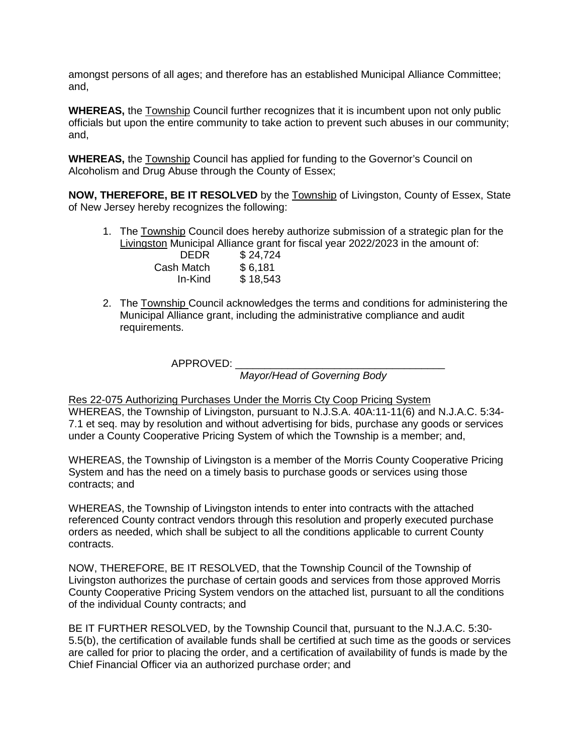amongst persons of all ages; and therefore has an established Municipal Alliance Committee; and,

**WHEREAS,** the Township Council further recognizes that it is incumbent upon not only public officials but upon the entire community to take action to prevent such abuses in our community; and,

**WHEREAS,** the Township Council has applied for funding to the Governor's Council on Alcoholism and Drug Abuse through the County of Essex;

**NOW, THEREFORE, BE IT RESOLVED** by the Township of Livingston, County of Essex, State of New Jersey hereby recognizes the following:

1. The Township Council does hereby authorize submission of a strategic plan for the Livingston Municipal Alliance grant for fiscal year 2022/2023 in the amount of:

| DEDR       | \$24,724 |
|------------|----------|
| Cash Match | \$6,181  |
| In-Kind    | \$18,543 |

2. The Township Council acknowledges the terms and conditions for administering the Municipal Alliance grant, including the administrative compliance and audit requirements.

APPROVED: \_\_\_\_\_\_\_\_\_\_\_\_\_\_\_\_\_\_\_\_\_\_\_\_\_\_\_\_\_\_\_\_\_\_\_\_

*Mayor/Head of Governing Body* 

#### Res 22-075 Authorizing Purchases Under the Morris Cty Coop Pricing System

WHEREAS, the Township of Livingston, pursuant to N.J.S.A. 40A:11-11(6) and N.J.A.C. 5:34- 7.1 et seq. may by resolution and without advertising for bids, purchase any goods or services under a County Cooperative Pricing System of which the Township is a member; and,

WHEREAS, the Township of Livingston is a member of the Morris County Cooperative Pricing System and has the need on a timely basis to purchase goods or services using those contracts; and

WHEREAS, the Township of Livingston intends to enter into contracts with the attached referenced County contract vendors through this resolution and properly executed purchase orders as needed, which shall be subject to all the conditions applicable to current County contracts.

NOW, THEREFORE, BE IT RESOLVED, that the Township Council of the Township of Livingston authorizes the purchase of certain goods and services from those approved Morris County Cooperative Pricing System vendors on the attached list, pursuant to all the conditions of the individual County contracts; and

BE IT FURTHER RESOLVED, by the Township Council that, pursuant to the N.J.A.C. 5:30- 5.5(b), the certification of available funds shall be certified at such time as the goods or services are called for prior to placing the order, and a certification of availability of funds is made by the Chief Financial Officer via an authorized purchase order; and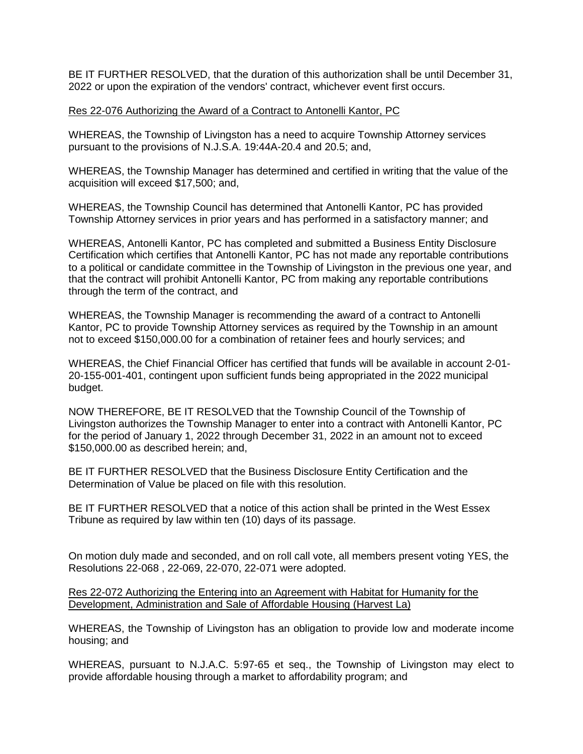BE IT FURTHER RESOLVED, that the duration of this authorization shall be until December 31, 2022 or upon the expiration of the vendors' contract, whichever event first occurs.

### Res 22-076 Authorizing the Award of a Contract to Antonelli Kantor, PC

WHEREAS, the Township of Livingston has a need to acquire Township Attorney services pursuant to the provisions of N.J.S.A. 19:44A-20.4 and 20.5; and,

WHEREAS, the Township Manager has determined and certified in writing that the value of the acquisition will exceed \$17,500; and,

WHEREAS, the Township Council has determined that Antonelli Kantor, PC has provided Township Attorney services in prior years and has performed in a satisfactory manner; and

WHEREAS, Antonelli Kantor, PC has completed and submitted a Business Entity Disclosure Certification which certifies that Antonelli Kantor, PC has not made any reportable contributions to a political or candidate committee in the Township of Livingston in the previous one year, and that the contract will prohibit Antonelli Kantor, PC from making any reportable contributions through the term of the contract, and

WHEREAS, the Township Manager is recommending the award of a contract to Antonelli Kantor, PC to provide Township Attorney services as required by the Township in an amount not to exceed \$150,000.00 for a combination of retainer fees and hourly services; and

WHEREAS, the Chief Financial Officer has certified that funds will be available in account 2-01- 20-155-001-401, contingent upon sufficient funds being appropriated in the 2022 municipal budget.

NOW THEREFORE, BE IT RESOLVED that the Township Council of the Township of Livingston authorizes the Township Manager to enter into a contract with Antonelli Kantor, PC for the period of January 1, 2022 through December 31, 2022 in an amount not to exceed \$150,000.00 as described herein; and,

BE IT FURTHER RESOLVED that the Business Disclosure Entity Certification and the Determination of Value be placed on file with this resolution.

BE IT FURTHER RESOLVED that a notice of this action shall be printed in the West Essex Tribune as required by law within ten (10) days of its passage.

On motion duly made and seconded, and on roll call vote, all members present voting YES, the Resolutions 22-068 , 22-069, 22-070, 22-071 were adopted.

Res 22-072 Authorizing the Entering into an Agreement with Habitat for Humanity for the Development, Administration and Sale of Affordable Housing (Harvest La)

WHEREAS, the Township of Livingston has an obligation to provide low and moderate income housing; and

WHEREAS, pursuant to N.J.A.C. 5:97-65 et seq., the Township of Livingston may elect to provide affordable housing through a market to affordability program; and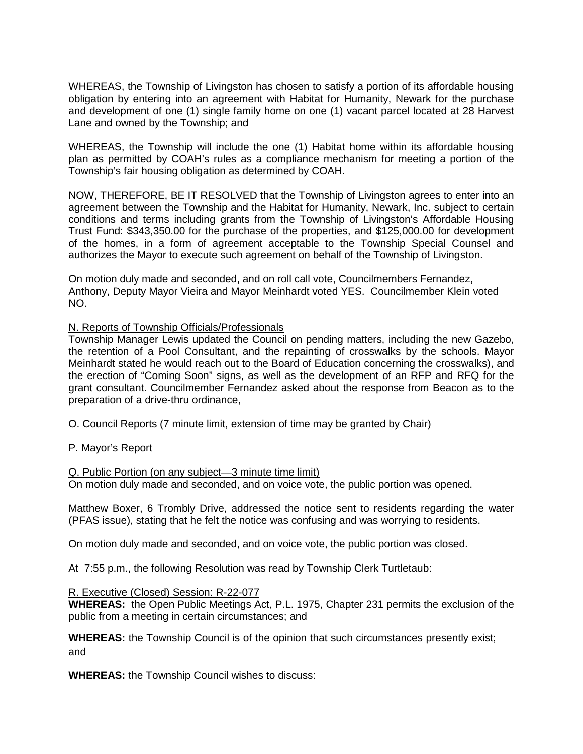WHEREAS, the Township of Livingston has chosen to satisfy a portion of its affordable housing obligation by entering into an agreement with Habitat for Humanity, Newark for the purchase and development of one (1) single family home on one (1) vacant parcel located at 28 Harvest Lane and owned by the Township; and

WHEREAS, the Township will include the one (1) Habitat home within its affordable housing plan as permitted by COAH's rules as a compliance mechanism for meeting a portion of the Township's fair housing obligation as determined by COAH.

NOW, THEREFORE, BE IT RESOLVED that the Township of Livingston agrees to enter into an agreement between the Township and the Habitat for Humanity, Newark, Inc. subject to certain conditions and terms including grants from the Township of Livingston's Affordable Housing Trust Fund: \$343,350.00 for the purchase of the properties, and \$125,000.00 for development of the homes, in a form of agreement acceptable to the Township Special Counsel and authorizes the Mayor to execute such agreement on behalf of the Township of Livingston.

On motion duly made and seconded, and on roll call vote, Councilmembers Fernandez, Anthony, Deputy Mayor Vieira and Mayor Meinhardt voted YES. Councilmember Klein voted NO.

## N. Reports of Township Officials/Professionals

Township Manager Lewis updated the Council on pending matters, including the new Gazebo, the retention of a Pool Consultant, and the repainting of crosswalks by the schools. Mayor Meinhardt stated he would reach out to the Board of Education concerning the crosswalks), and the erection of "Coming Soon" signs, as well as the development of an RFP and RFQ for the grant consultant. Councilmember Fernandez asked about the response from Beacon as to the preparation of a drive-thru ordinance,

O. Council Reports (7 minute limit, extension of time may be granted by Chair)

## P. Mayor's Report

Q. Public Portion (on any subject—3 minute time limit) On motion duly made and seconded, and on voice vote, the public portion was opened.

Matthew Boxer, 6 Trombly Drive, addressed the notice sent to residents regarding the water (PFAS issue), stating that he felt the notice was confusing and was worrying to residents.

On motion duly made and seconded, and on voice vote, the public portion was closed.

At 7:55 p.m., the following Resolution was read by Township Clerk Turtletaub:

#### R. Executive (Closed) Session: R-22-077

**WHEREAS:** the Open Public Meetings Act, P.L. 1975, Chapter 231 permits the exclusion of the public from a meeting in certain circumstances; and

**WHEREAS:** the Township Council is of the opinion that such circumstances presently exist; and

**WHEREAS:** the Township Council wishes to discuss: